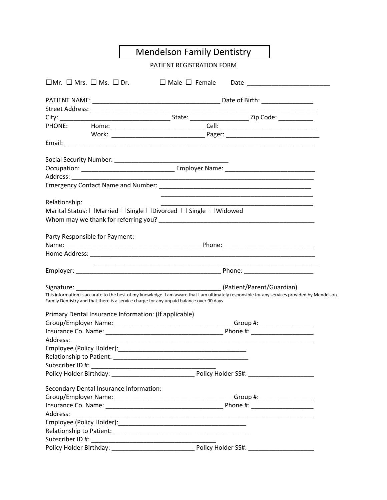|                                                          | <b>Mendelson Family Dentistry</b>                                                                                                                                                                                              |  |  |  |  |
|----------------------------------------------------------|--------------------------------------------------------------------------------------------------------------------------------------------------------------------------------------------------------------------------------|--|--|--|--|
|                                                          | PATIENT REGISTRATION FORM                                                                                                                                                                                                      |  |  |  |  |
| $\square$ Mr. $\square$ Mrs. $\square$ Ms. $\square$ Dr. | $\Box$ Male $\Box$ Female                                                                                                                                                                                                      |  |  |  |  |
|                                                          |                                                                                                                                                                                                                                |  |  |  |  |
|                                                          |                                                                                                                                                                                                                                |  |  |  |  |
|                                                          |                                                                                                                                                                                                                                |  |  |  |  |
|                                                          |                                                                                                                                                                                                                                |  |  |  |  |
|                                                          |                                                                                                                                                                                                                                |  |  |  |  |
|                                                          |                                                                                                                                                                                                                                |  |  |  |  |
|                                                          |                                                                                                                                                                                                                                |  |  |  |  |
|                                                          |                                                                                                                                                                                                                                |  |  |  |  |
|                                                          |                                                                                                                                                                                                                                |  |  |  |  |
|                                                          |                                                                                                                                                                                                                                |  |  |  |  |
| Relationship:                                            | <u> 1990 - Johann John Stone, mars et al. (1990)</u>                                                                                                                                                                           |  |  |  |  |
|                                                          | Marital Status: □Married □Single □Divorced □ Single □Widowed                                                                                                                                                                   |  |  |  |  |
|                                                          |                                                                                                                                                                                                                                |  |  |  |  |
|                                                          |                                                                                                                                                                                                                                |  |  |  |  |
| Party Responsible for Payment:                           |                                                                                                                                                                                                                                |  |  |  |  |
|                                                          |                                                                                                                                                                                                                                |  |  |  |  |
|                                                          |                                                                                                                                                                                                                                |  |  |  |  |
|                                                          |                                                                                                                                                                                                                                |  |  |  |  |
|                                                          |                                                                                                                                                                                                                                |  |  |  |  |
|                                                          | This information is accurate to the best of my knowledge. I am aware that I am ultimately responsible for any services provided by Mendelson                                                                                   |  |  |  |  |
|                                                          | Family Dentistry and that there is a service charge for any unpaid balance over 90 days.                                                                                                                                       |  |  |  |  |
| Primary Dental Insurance Information: (If applicable)    |                                                                                                                                                                                                                                |  |  |  |  |
|                                                          | Group/Employer Name: Name: Name and All Contract Contract Contract Contract Contract Contract Contract Contract Contract Contract Contract Contract Contract Contract Contract Contract Contract Contract Contract Contract Co |  |  |  |  |
|                                                          |                                                                                                                                                                                                                                |  |  |  |  |
|                                                          |                                                                                                                                                                                                                                |  |  |  |  |
|                                                          |                                                                                                                                                                                                                                |  |  |  |  |
|                                                          |                                                                                                                                                                                                                                |  |  |  |  |
|                                                          |                                                                                                                                                                                                                                |  |  |  |  |
|                                                          |                                                                                                                                                                                                                                |  |  |  |  |
| Secondary Dental Insurance Information:                  |                                                                                                                                                                                                                                |  |  |  |  |
|                                                          |                                                                                                                                                                                                                                |  |  |  |  |
|                                                          |                                                                                                                                                                                                                                |  |  |  |  |
|                                                          |                                                                                                                                                                                                                                |  |  |  |  |
|                                                          |                                                                                                                                                                                                                                |  |  |  |  |
|                                                          |                                                                                                                                                                                                                                |  |  |  |  |
|                                                          |                                                                                                                                                                                                                                |  |  |  |  |
|                                                          |                                                                                                                                                                                                                                |  |  |  |  |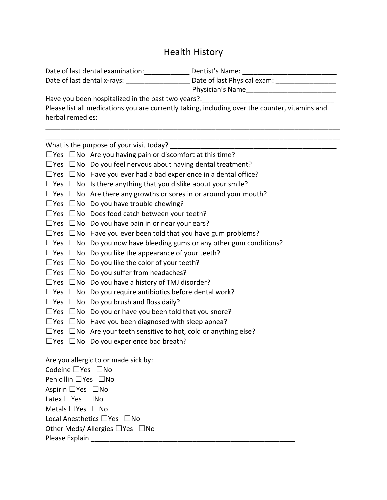## Health History

| Date of last dental examination:                      | Dentist's Name:             |  |  |
|-------------------------------------------------------|-----------------------------|--|--|
| Date of last dental x-rays:                           | Date of last Physical exam: |  |  |
|                                                       | Physician's Name            |  |  |
| $l$ laya yay boon boonitolizad in the nost two years? |                             |  |  |

Have you been hospitalized in the past two years?:

Please list all medications you are currently taking, including over the counter, vitamins and herbal remedies:

\_\_\_\_\_\_\_\_\_\_\_\_\_\_\_\_\_\_\_\_\_\_\_\_\_\_\_\_\_\_\_\_\_\_\_\_\_\_\_\_\_\_\_\_\_\_\_\_\_\_\_\_\_\_\_\_\_\_\_\_\_\_\_\_\_\_\_\_\_\_\_\_\_\_\_\_\_\_

\_\_\_\_\_\_\_\_\_\_\_\_\_\_\_\_\_\_\_\_\_\_\_\_\_\_\_\_\_\_\_\_\_\_\_\_\_\_\_\_\_\_\_\_\_\_\_\_\_\_\_\_\_\_\_\_\_\_\_\_\_\_\_\_\_\_\_\_\_\_\_\_\_\_\_\_\_\_ What is the purpose of your visit today?  $\Box$ Yes  $\Box$ No Are you having pain or discomfort at this time?  $\square$ Yes  $\square$ No Do you feel nervous about having dental treatment?  $\square$ Yes  $\square$ No Have you ever had a bad experience in a dental office?  $\Box$ Yes  $\Box$ No Is there anything that you dislike about your smile?  $\Box$ Yes  $\Box$ No Are there any growths or sores in or around your mouth?  $\square$ Yes  $\square$ No Do you have trouble chewing? ☐Yes ☐No Does food catch between your teeth?  $\square$ Yes  $\square$ No Do you have pain in or near your ears?  $\square$ Yes  $\square$ No Have you ever been told that you have gum problems?  $\Box$ Yes  $\Box$ No Do you now have bleeding gums or any other gum conditions?  $\Box$ Yes  $\Box$ No Do you like the appearance of your teeth? ☐Yes ☐No Do you like the color of your teeth? ☐Yes ☐No Do you suffer from headaches?  $\Box$ Yes  $\Box$ No Do you have a history of TMJ disorder?  $\square$ Yes  $\square$ No Do you require antibiotics before dental work?  $\square$ Yes  $\square$ No Do you brush and floss daily? ☐Yes ☐No Do you or have you been told that you snore?  $\square$ Yes  $\square$ No Have you been diagnosed with sleep apnea?  $\square$ Yes  $\square$ No Are your teeth sensitive to hot, cold or anything else?  $\square$ Yes  $\square$ No Do you experience bad breath? Are you allergic to or made sick by: Codeine □Yes □No Penicillin ☐Yes ☐No Aspirin ☐Yes ☐No Latex ☐Yes ☐No Metals □Yes □No Local Anesthetics ☐Yes ☐No Other Meds/ Allergies □Yes □No Please Explain **Explain** and the set of the set of the set of the set of the set of the set of the set of the set of the set of the set of the set of the set of the set of the set of the set of the set of the set of the se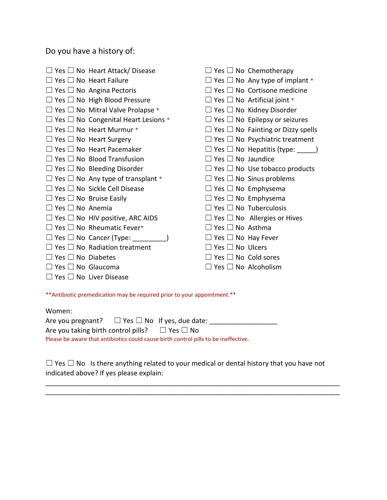Do you have a history of:

|                                    | $\Box$ Yes $\Box$ No Heart Attack/ Disease      |                                 | $\Box$ Yes $\Box$ No Chemotherapy             |
|------------------------------------|-------------------------------------------------|---------------------------------|-----------------------------------------------|
|                                    | $\Box$ Yes $\Box$ No Heart Failure              |                                 | $\Box$ Yes $\Box$ No Any type of implant *    |
|                                    | $\Box$ Yes $\Box$ No Angina Pectoris            |                                 | $\Box$ Yes $\Box$ No Cortisone medicine       |
|                                    | $\Box$ Yes $\Box$ No High Blood Pressure        |                                 | $\Box$ Yes $\Box$ No Artificial joint *       |
|                                    | $\Box$ Yes $\Box$ No Mitral Valve Prolapse *    |                                 | $\Box$ Yes $\Box$ No Kidney Disorder          |
|                                    | $\Box$ Yes $\Box$ No Congenital Heart Lesions * |                                 | $\Box$ Yes $\Box$ No Epilepsy or seizures     |
|                                    | $\Box$ Yes $\Box$ No Heart Murmur *             |                                 | $\Box$ Yes $\Box$ No Fainting or Dizzy spells |
|                                    | $\Box$ Yes $\Box$ No Heart Surgery              |                                 | $\Box$ Yes $\Box$ No Psychiatric treatment    |
|                                    | $\Box$ Yes $\Box$ No Heart Pacemaker            |                                 | $\Box$ Yes $\Box$ No Hepatitis (type: )       |
|                                    | $\Box$ Yes $\Box$ No Blood Transfusion          | $\Box$ Yes $\Box$ No Jaundice   |                                               |
|                                    | $\Box$ Yes $\Box$ No Bleeding Disorder          |                                 | $\Box$ Yes $\Box$ No Use tobacco products     |
|                                    | $\Box$ Yes $\Box$ No Any type of transplant *   |                                 | $\Box$ Yes $\Box$ No Sinus problems           |
|                                    | $\Box$ Yes $\Box$ No Sickle Cell Disease        | $\Box$ Yes $\Box$ No Emphysema  |                                               |
| $\Box$ Yes $\Box$ No Bruise Easily |                                                 | $\Box$ Yes $\Box$ No Emphysema  |                                               |
| $\Box$ Yes $\Box$ No Anemia        |                                                 |                                 | $\Box$ Yes $\Box$ No Tuberculosis             |
|                                    | $\Box$ Yes $\Box$ No HIV positive, ARC AIDS     |                                 | $\Box$ Yes $\Box$ No Allergies or Hives       |
|                                    | $\Box$ Yes $\Box$ No Rheumatic Fever*           | $\Box$ Yes $\Box$ No Asthma     |                                               |
|                                    | $\Box$ Yes $\Box$ No Cancer (Type: ______       | $\Box$ Yes $\Box$ No Hay Fever  |                                               |
|                                    | $\Box$ Yes $\Box$ No Radiation treatment        | $\Box$ Yes $\Box$ No Ulcers     |                                               |
| $\Box$ Yes $\Box$ No Diabetes      |                                                 | $\Box$ Yes $\Box$ No Cold sores |                                               |
| $\Box$ Yes $\Box$ No Glaucoma      |                                                 |                                 | $\mathsf{I}$ Yes $\Box$ No Alcoholism         |
|                                    | $\Box$ Yes $\Box$ No Liver Disease              |                                 |                                               |

\*\*Antibiotic premedication may be required prior to your appointment.\*\*

| Women:                                                                              |  |  |  |  |
|-------------------------------------------------------------------------------------|--|--|--|--|
| Are you pregnant? $\square$ Yes $\square$ No If yes, due date:                      |  |  |  |  |
| Are you taking birth control pills? $\Box$ Yes $\Box$ No                            |  |  |  |  |
| Please be aware that antibiotics could cause birth control pills to be ineffective. |  |  |  |  |

☐ Yes ☐ No Is there anything related to your medical or dental history that you have not indicated above? If yes please explain:

\_\_\_\_\_\_\_\_\_\_\_\_\_\_\_\_\_\_\_\_\_\_\_\_\_\_\_\_\_\_\_\_\_\_\_\_\_\_\_\_\_\_\_\_\_\_\_\_\_\_\_\_\_\_\_\_\_\_\_\_\_\_\_\_\_\_\_\_\_\_\_\_\_\_\_\_\_\_ \_\_\_\_\_\_\_\_\_\_\_\_\_\_\_\_\_\_\_\_\_\_\_\_\_\_\_\_\_\_\_\_\_\_\_\_\_\_\_\_\_\_\_\_\_\_\_\_\_\_\_\_\_\_\_\_\_\_\_\_\_\_\_\_\_\_\_\_\_\_\_\_\_\_\_\_\_\_